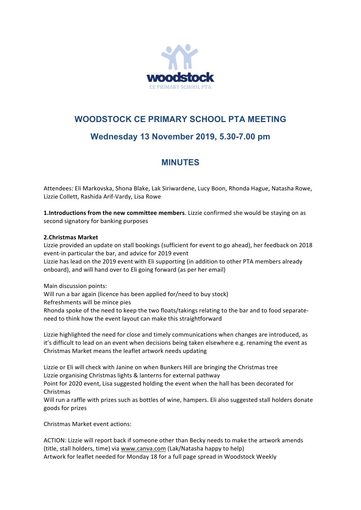

## **WOODSTOCK CE PRIMARY SCHOOL PTA MEETING**

# **Wednesday 13 November 2019, 5.30-7.00 pm**

# **MINUTES**

Attendees: Eli Markovska, Shona Blake, Lak Siriwardene, Lucy Boon, Rhonda Hague, Natasha Rowe, Lizzie Collett, Rashida Arif-Vardy, Lisa Rowe

**1.Introductions from the new committee members**. Lizzie confirmed she would be staying on as second signatory for banking purposes

### **2.Christmas Market**

Lizzie provided an update on stall bookings (sufficient for event to go ahead), her feedback on 2018 event-in particular the bar, and advice for 2019 event

Lizzie has lead on the 2019 event with Eli supporting (in addition to other PTA members already onboard), and will hand over to Eli going forward (as per her email)

Main discussion points:

Will run a bar again (licence has been applied for/need to buy stock)

Refreshments will be mince pies

Rhonda spoke of the need to keep the two floats/takings relating to the bar and to food separateneed to think how the event layout can make this straightforward

Lizzie highlighted the need for close and timely communications when changes are introduced, as it's difficult to lead on an event when decisions being taken elsewhere e.g. renaming the event as Christmas Market means the leaflet artwork needs updating

Lizzie or Eli will check with Janine on when Bunkers Hill are bringing the Christmas tree Lizzie organising Christmas lights & lanterns for external pathway

Point for 2020 event, Lisa suggested holding the event when the hall has been decorated for Christmas

Will run a raffle with prizes such as bottles of wine, hampers. Eli also suggested stall holders donate goods for prizes

Christmas Market event actions:

ACTION: Lizzie will report back if someone other than Becky needs to make the artwork amends (title, stall holders, time) via www.canva.com (Lak/Natasha happy to help) Artwork for leaflet needed for Monday 18 for a full page spread in Woodstock Weekly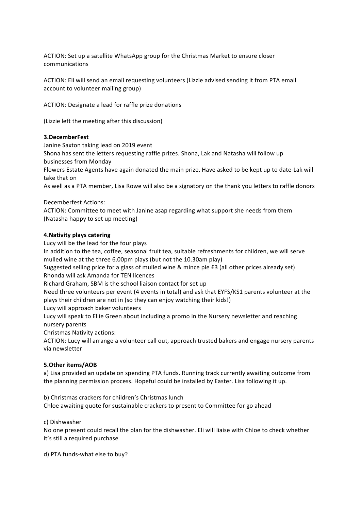ACTION: Set up a satellite WhatsApp group for the Christmas Market to ensure closer communications

ACTION: Eli will send an email requesting volunteers (Lizzie advised sending it from PTA email account to volunteer mailing group)

ACTION: Designate a lead for raffle prize donations

(Lizzie left the meeting after this discussion)

### **3.DecemberFest**

Janine Saxton taking lead on 2019 event

Shona has sent the letters requesting raffle prizes. Shona, Lak and Natasha will follow up businesses from Monday

Flowers Estate Agents have again donated the main prize. Have asked to be kept up to date-Lak will take that on

As well as a PTA member, Lisa Rowe will also be a signatory on the thank you letters to raffle donors

Decemberfest Actions:

ACTION: Committee to meet with Janine asap regarding what support she needs from them (Natasha happy to set up meeting)

### **4.Nativity plays catering**

Lucy will be the lead for the four plays

In addition to the tea, coffee, seasonal fruit tea, suitable refreshments for children, we will serve mulled wine at the three 6.00pm plays (but not the 10.30am play)

Suggested selling price for a glass of mulled wine & mince pie £3 (all other prices already set) Rhonda will ask Amanda for TEN licences

Richard Graham, SBM is the school liaison contact for set up

Need three volunteers per event (4 events in total) and ask that EYFS/KS1 parents volunteer at the plays their children are not in (so they can enjoy watching their kids!)

Lucy will approach baker volunteers

Lucy will speak to Ellie Green about including a promo in the Nursery newsletter and reaching nursery parents

Christmas Nativity actions:

ACTION: Lucy will arrange a volunteer call out, approach trusted bakers and engage nursery parents via newsletter

### **5.Other items/AOB**

a) Lisa provided an update on spending PTA funds. Running track currently awaiting outcome from the planning permission process. Hopeful could be installed by Easter. Lisa following it up.

b) Christmas crackers for children's Christmas lunch

Chloe awaiting quote for sustainable crackers to present to Committee for go ahead

c) Dishwasher

No one present could recall the plan for the dishwasher. Eli will liaise with Chloe to check whether it's still a required purchase

d) PTA funds-what else to buy?